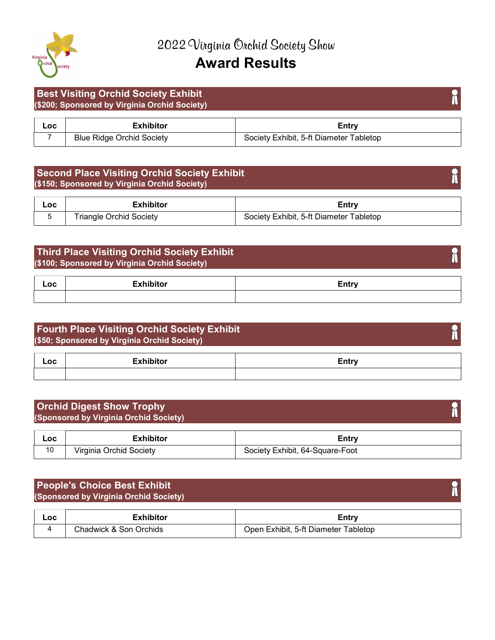

#### Best Visiting Orchid Society Exhibit (\$200; Sponsored by Virginia Orchid Society)

| ∟OC | ∠xhibitor                        | ∠ntr∵                                   |
|-----|----------------------------------|-----------------------------------------|
|     | <b>Blue Ridge Orchid Society</b> | Society Exhibit, 5-ft Diameter Tabletop |

#### Second Place Visiting Orchid Society Exhibit (\$150; Sponsored by Virginia Orchid Society)

| Loc | <b>Exhibitor</b>        | Entry                                   |
|-----|-------------------------|-----------------------------------------|
|     | Triangle Orchid Society | Society Exhibit, 5-ft Diameter Tabletop |

## Third Place Visiting Orchid Society Exhibit (\$100; Sponsored by Virginia Orchid Society)

| Loc | . | ∠ntrv |
|-----|---|-------|
|     |   |       |

# Fourth Place Visiting Orchid Society Exhibit Î (\$50; Sponsored by Virginia Orchid Society) Loc is the exhibitor of the exhibit of the extension of the extension of the exhibit of the exhibit of the exhibit of the extension of the extension of the extension of the extension of the extension of the extension of th

| <b>Orchid Digest Show Trophy</b><br>(Sponsored by Virginia Orchid Society) |                         |                                 |  |
|----------------------------------------------------------------------------|-------------------------|---------------------------------|--|
| Loc                                                                        | <b>Exhibitor</b>        | Entry                           |  |
| 10                                                                         | Virginia Orchid Society | Society Exhibit, 64-Square-Foot |  |

## People's Choice Best Exhibit (Sponsored by Virginia Orchid Society)

| Loc | :xhibitor                  | ∠ntrv                                                                |
|-----|----------------------------|----------------------------------------------------------------------|
|     | Drchids<br>Chadwick & Son. | 5-ft.<br>⊺abletop<br>Diameter ⊺<br>. Iner<br>:xhibit.<br>$\mathbf -$ |

m

F

m

h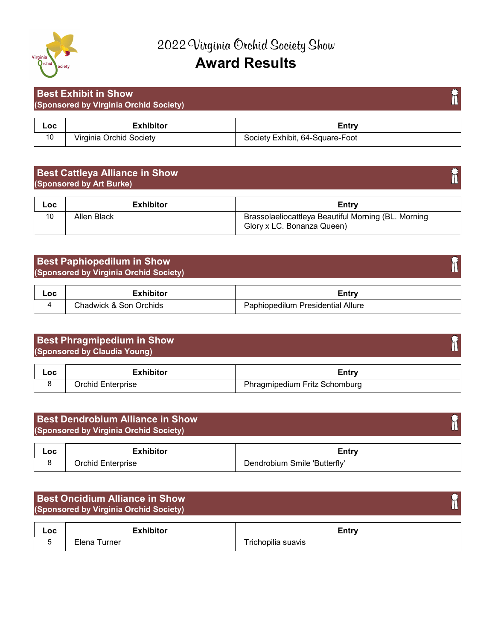

|     | <b>Best Exhibit in Show</b>            |                                 |  |
|-----|----------------------------------------|---------------------------------|--|
|     | (Sponsored by Virginia Orchid Society) |                                 |  |
| Loc | <b>Exhibitor</b>                       | Entry                           |  |
| 10  | Virginia Orchid Society                | Society Exhibit, 64-Square-Foot |  |

## Best Cattleya Alliance in Show (Sponsored by Art Burke)

| Loc | <b>Exhibitor</b> | Entry                                                                             |
|-----|------------------|-----------------------------------------------------------------------------------|
|     | Allen Black      | Brassolaeliocattleya Beautiful Morning (BL. Morning<br>Glory x LC. Bonanza Queen) |

#### Best Paphiopedilum in Show (Sponsored by Virginia Orchid Society)

| _OC | :xhibitor              | casa                                  |
|-----|------------------------|---------------------------------------|
|     | Chadwick & Son Orchids | ⊦ Presidential Allure<br>aphiopedilum |

#### Best Phragmipedium in Show h (Sponsored by Claudia Young)

| Loc | .                     | ∟⊂ntr                                         |
|-----|-----------------------|-----------------------------------------------|
|     | Enterprise<br>Jrchid. | r Fritz Schomburg ا<br>nragmipedium<br>$\sim$ |

## ħ Best Dendrobium Alliance in Show (Sponsored by Virginia Orchid Society) Loc is the exhibitor of the exhibit of the extension of the exhibit of the exhibit of the exhibit of the exhibit of the exhibit of the exhibit of the exhibit of the exhibit of the exhibit of the exhibit of the exhibit of t 8 Orchid Enterprise Dendrobium Smile 'Butterfly'

| <b>Best Oncidium Alliance in Show</b><br>(Sponsored by Virginia Orchid Society) |                  |       |  |
|---------------------------------------------------------------------------------|------------------|-------|--|
| Loc                                                                             | <b>Exhibitor</b> | Entry |  |
|                                                                                 |                  |       |  |

T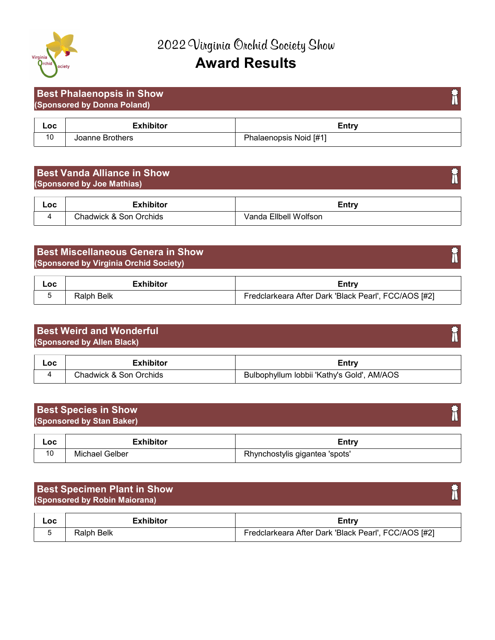

#### Best Phalaenopsis in Show F (Sponsored by Donna Poland) Loc is the exhibitor of the exhibit of the extension of the exhibit of the exhibit of the exhibit of the exhibit of the exhibit of the exhibit of the exhibit of the exhibit of the exhibit of the exhibit of the exhibit of t 10 Joanne Brothers **Phalaenopsis Noid [#1]**

#### Best Vanda Alliance in Show (Sponsored by Joe Mathias)

| ∟oc | -vhihitar                               | <b>Entr</b>                          |
|-----|-----------------------------------------|--------------------------------------|
|     | ີ hadwick & S.<br><b>Orchids</b><br>Son | <b>Wolfson</b><br>Filhell i<br>/anda |

## Best Miscellaneous Genera in Show (Sponsored by Virginia Orchid Society)

| Loc | Exhibitor  | ∠ntrv                                                |
|-----|------------|------------------------------------------------------|
|     | Ralph Belk | Fredclarkeara After Dark 'Black Pearl', FCC/AOS [#2] |

# Best Weird and Wonderful h (Sponsored by Allen Black)

| Loc | .<br>юнс                        | Entrv                                              |  |
|-----|---------------------------------|----------------------------------------------------|--|
|     | Chadwick<br>Orchids<br>Son<br>↷ | AM/AOS<br>Gold'<br>lobbii 'Kathy's<br>3ulbophvilum |  |

#### Best Species in Show (Sponsored by Stan Baker)

| Loc |                  | ∠intr^                                                 |
|-----|------------------|--------------------------------------------------------|
| 10  | Gelber<br>Michae | Phvn∟.<br>'spots'<br>⊧gigantea<br>.chostylis<br>1 N LY |

# Best Specimen Plant in Show (Sponsored by Robin Maiorana)

| Loc | Exhibitor  | ∠ntrv                                                |
|-----|------------|------------------------------------------------------|
|     | Ralph Belk | Fredclarkeara After Dark 'Black Pearl', FCC/AOS [#2] |

# m

h

M

ħ